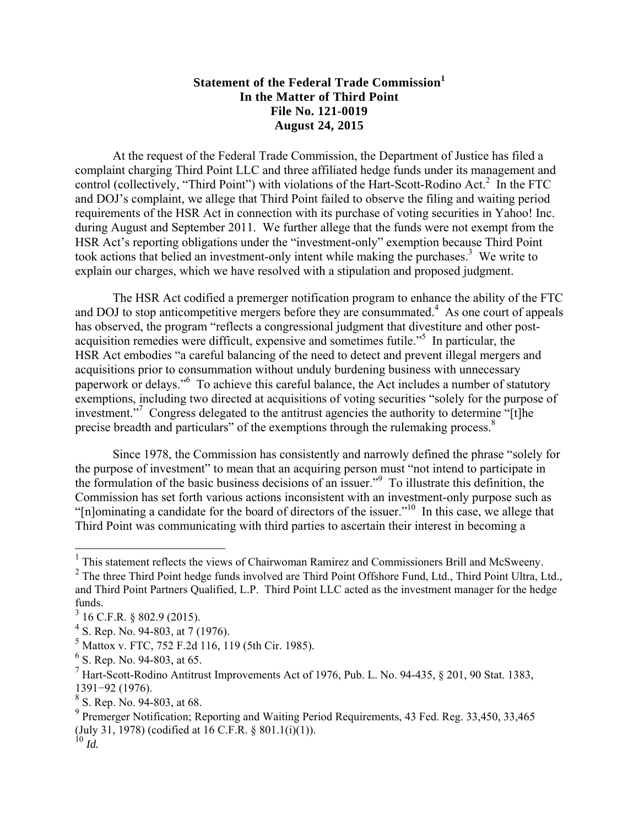## **Statement of the Federal Trade Commission<sup>1</sup> In the Matter of Third Point File No. 121-0019 August 24, 2015**

At the request of the Federal Trade Commission, the Department of Justice has filed a complaint charging Third Point LLC and three affiliated hedge funds under its management and control (collectively, "Third Point") with violations of the Hart-Scott-Rodino Act.<sup>2</sup> In the FTC and DOJ's complaint, we allege that Third Point failed to observe the filing and waiting period requirements of the HSR Act in connection with its purchase of voting securities in Yahoo! Inc. during August and September 2011. We further allege that the funds were not exempt from the HSR Act's reporting obligations under the "investment-only" exemption because Third Point took actions that belied an investment-only intent while making the purchases.<sup>3</sup> We write to explain our charges, which we have resolved with a stipulation and proposed judgment.

The HSR Act codified a premerger notification program to enhance the ability of the FTC and DOJ to stop anticompetitive mergers before they are consummated. $4$  As one court of appeals has observed, the program "reflects a congressional judgment that divestiture and other postacquisition remedies were difficult, expensive and sometimes futile."<sup>5</sup> In particular, the HSR Act embodies "a careful balancing of the need to detect and prevent illegal mergers and acquisitions prior to consummation without unduly burdening business with unnecessary paperwork or delays."<sup>6</sup> To achieve this careful balance, the Act includes a number of statutory exemptions, including two directed at acquisitions of voting securities "solely for the purpose of investment."7 Congress delegated to the antitrust agencies the authority to determine "[t]he precise breadth and particulars" of the exemptions through the rulemaking process.<sup>8</sup>

Since 1978, the Commission has consistently and narrowly defined the phrase "solely for the purpose of investment" to mean that an acquiring person must "not intend to participate in the formulation of the basic business decisions of an issuer."9 To illustrate this definition, the Commission has set forth various actions inconsistent with an investment-only purpose such as " $[n]$ ominating a candidate for the board of directors of the issuer."<sup>10</sup> In this case, we allege that Third Point was communicating with third parties to ascertain their interest in becoming a

<sup>&</sup>lt;sup>1</sup> This statement reflects the views of Chairwoman Ramirez and Commissioners Brill and McSweeny.

<sup>&</sup>lt;sup>2</sup> The three Third Point hedge funds involved are Third Point Offshore Fund, Ltd., Third Point Ultra, Ltd., and Third Point Partners Qualified, L.P. Third Point LLC acted as the investment manager for the hedge funds.

 $3$  16 C.F.R. § 802.9 (2015).

<sup>&</sup>lt;sup>4</sup> S. Rep. No. 94-803, at 7 (1976).

<sup>5</sup> Mattox v. FTC, 752 F.2d 116, 119 (5th Cir. 1985).

 $<sup>6</sup>$  S. Rep. No. 94-803, at 65.</sup>

 $^7$  Hart-Scott-Rodino Antitrust Improvements Act of 1976, Pub. L. No. 94-435, § 201, 90 Stat. 1383, 1391−92 (1976).

<sup>8</sup> S. Rep. No. 94-803, at 68.

<sup>&</sup>lt;sup>9</sup> Premerger Notification; Reporting and Waiting Period Requirements, 43 Fed. Reg. 33,450, 33,465 (July 31, 1978) (codified at 16 C.F.R. § 801.1(i)(1)).  $^{10}$  *Id.*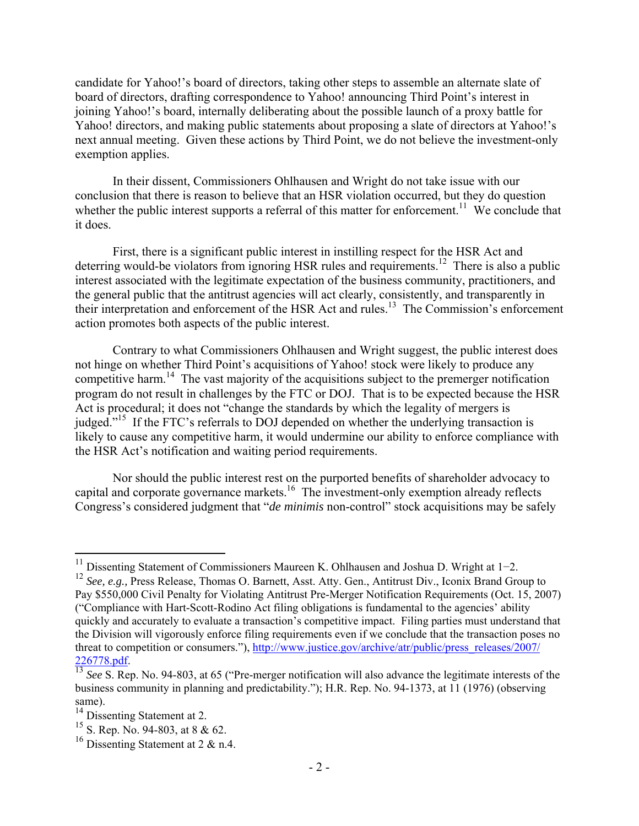candidate for Yahoo!'s board of directors, taking other steps to assemble an alternate slate of board of directors, drafting correspondence to Yahoo! announcing Third Point's interest in joining Yahoo!'s board, internally deliberating about the possible launch of a proxy battle for Yahoo! directors, and making public statements about proposing a slate of directors at Yahoo!'s next annual meeting. Given these actions by Third Point, we do not believe the investment-only exemption applies.

In their dissent, Commissioners Ohlhausen and Wright do not take issue with our conclusion that there is reason to believe that an HSR violation occurred, but they do question whether the public interest supports a referral of this matter for enforcement.<sup>11</sup> We conclude that it does.

First, there is a significant public interest in instilling respect for the HSR Act and deterring would-be violators from ignoring HSR rules and requirements.<sup>12</sup> There is also a public interest associated with the legitimate expectation of the business community, practitioners, and the general public that the antitrust agencies will act clearly, consistently, and transparently in their interpretation and enforcement of the HSR Act and rules.13 The Commission's enforcement action promotes both aspects of the public interest.

Contrary to what Commissioners Ohlhausen and Wright suggest, the public interest does not hinge on whether Third Point's acquisitions of Yahoo! stock were likely to produce any competitive harm.<sup>14</sup> The vast majority of the acquisitions subject to the premerger notification program do not result in challenges by the FTC or DOJ. That is to be expected because the HSR Act is procedural; it does not "change the standards by which the legality of mergers is judged."<sup>15</sup> If the FTC's referrals to DOJ depended on whether the underlying transaction is likely to cause any competitive harm, it would undermine our ability to enforce compliance with the HSR Act's notification and waiting period requirements.

Nor should the public interest rest on the purported benefits of shareholder advocacy to capital and corporate governance markets.16 The investment-only exemption already reflects Congress's considered judgment that "*de minimis* non-control" stock acquisitions may be safely

<sup>11</sup> Dissenting Statement of Commissioners Maureen K. Ohlhausen and Joshua D. Wright at 1−2.

<sup>&</sup>lt;sup>12</sup> See, e.g., Press Release, Thomas O. Barnett, Asst. Atty. Gen., Antitrust Div., Iconix Brand Group to Pay \$550,000 Civil Penalty for Violating Antitrust Pre-Merger Notification Requirements (Oct. 15, 2007) ("Compliance with Hart-Scott-Rodino Act filing obligations is fundamental to the agencies' ability quickly and accurately to evaluate a transaction's competitive impact. Filing parties must understand that the Division will vigorously enforce filing requirements even if we conclude that the transaction poses no threat to competition or consumers."), http://www.justice.gov/archive/atr/public/press\_releases/2007/ 226778.pdf. 13 *See* S. Rep. No. 94-803, at 65 ("Pre-merger notification will also advance the legitimate interests of the

business community in planning and predictability."); H.R. Rep. No. 94-1373, at 11 (1976) (observing same).

 $14$  Dissenting Statement at 2.

<sup>15</sup> S. Rep. No. 94-803, at 8 & 62.

<sup>&</sup>lt;sup>16</sup> Dissenting Statement at 2  $\&$  n.4.